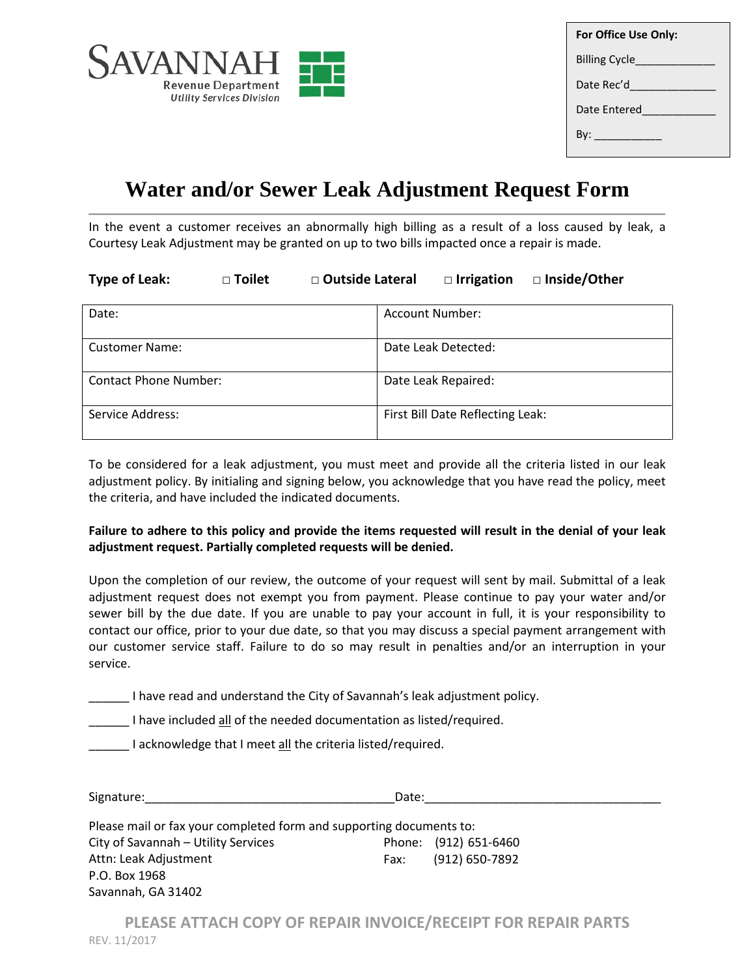

| For Office Use Only:      |  |  |
|---------------------------|--|--|
| Billing Cycle____________ |  |  |
| Date Rec'd                |  |  |
| Date Entered              |  |  |
| By: __________            |  |  |
|                           |  |  |

## **Water and/or Sewer Leak Adjustment Request Form**

In the event a customer receives an abnormally high billing as a result of a loss caused by leak, a Courtesy Leak Adjustment may be granted on up to two bills impacted once a repair is made.

| <b>Type of Leak:</b> | □ Toilet | □ Outside Lateral | □ Irrigation □ Inside/Other |  |
|----------------------|----------|-------------------|-----------------------------|--|
|                      |          |                   |                             |  |

| Date:                        | Account Number:                  |
|------------------------------|----------------------------------|
| <b>Customer Name:</b>        | Date Leak Detected:              |
| <b>Contact Phone Number:</b> | Date Leak Repaired:              |
| Service Address:             | First Bill Date Reflecting Leak: |

To be considered for a leak adjustment, you must meet and provide all the criteria listed in our leak adjustment policy. By initialing and signing below, you acknowledge that you have read the policy, meet the criteria, and have included the indicated documents.

## **Failure to adhere to this policy and provide the items requested will result in the denial of your leak adjustment request. Partially completed requests will be denied.**

Upon the completion of our review, the outcome of your request will sent by mail. Submittal of a leak adjustment request does not exempt you from payment. Please continue to pay your water and/or sewer bill by the due date. If you are unable to pay your account in full, it is your responsibility to contact our office, prior to your due date, so that you may discuss a special payment arrangement with our customer service staff. Failure to do so may result in penalties and/or an interruption in your service.

\_\_\_\_\_\_ I have read and understand the City of Savannah's leak adjustment policy.

I have included all of the needed documentation as listed/required.

I acknowledge that I meet all the criteria listed/required.

P.O. Box 1968 Savannah, GA 31402

| Signature:                                                          | Date: |                       |
|---------------------------------------------------------------------|-------|-----------------------|
| Please mail or fax your completed form and supporting documents to: |       |                       |
| City of Savannah - Utility Services                                 |       | Phone: (912) 651-6460 |
| Attn: Leak Adjustment                                               | Fax:  | (912) 650-7892        |

**PLEASE ATTACH COPY OF REPAIR INVOICE/RECEIPT FOR REPAIR PARTS** REV. 11/2017